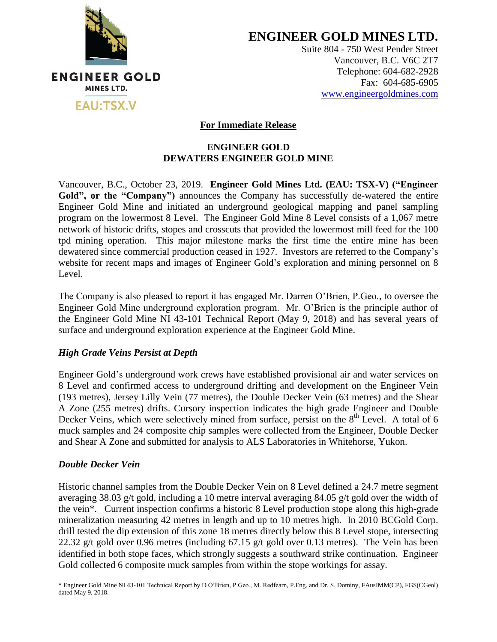

**ENGINEER GOLD MINES LTD.**

Suite 804 - 750 West Pender Street Vancouver, B.C. V6C 2T7 Telephone: 604-682-2928 Fax: 604-685-6905 [www.engineergoldmines.com](../../../../Users/Dale/AppData/Local/Microsoft/Windows/Temporary%20Internet%20Files/Library/Containers/com.apple.mail/Data/AppData/Local/Microsoft/Users/Dale/AppData/Local/Microsoft/Windows/Temporary%20Internet%20Files/Content.Outlook/RLQM2AKD/www.engineergoldmines.com)

### **For Immediate Release**

### **ENGINEER GOLD DEWATERS ENGINEER GOLD MINE**

Vancouver, B.C., October 23, 2019. **Engineer Gold Mines Ltd. (EAU: TSX-V) ("Engineer**  Gold", or the "Company") announces the Company has successfully de-watered the entire Engineer Gold Mine and initiated an underground geological mapping and panel sampling program on the lowermost 8 Level. The Engineer Gold Mine 8 Level consists of a 1,067 metre network of historic drifts, stopes and crosscuts that provided the lowermost mill feed for the 100 tpd mining operation. This major milestone marks the first time the entire mine has been dewatered since commercial production ceased in 1927. Investors are referred to the Company's website for recent maps and images of Engineer Gold's exploration and mining personnel on 8 Level.

The Company is also pleased to report it has engaged Mr. Darren O'Brien, P.Geo., to oversee the Engineer Gold Mine underground exploration program. Mr. O'Brien is the principle author of the Engineer Gold Mine NI 43-101 Technical Report (May 9, 2018) and has several years of surface and underground exploration experience at the Engineer Gold Mine.

### *High Grade Veins Persist at Depth*

Engineer Gold's underground work crews have established provisional air and water services on 8 Level and confirmed access to underground drifting and development on the Engineer Vein (193 metres), Jersey Lilly Vein (77 metres), the Double Decker Vein (63 metres) and the Shear A Zone (255 metres) drifts. Cursory inspection indicates the high grade Engineer and Double Decker Veins, which were selectively mined from surface, persist on the  $8<sup>th</sup>$  Level. A total of 6 muck samples and 24 composite chip samples were collected from the Engineer, Double Decker and Shear A Zone and submitted for analysis to ALS Laboratories in Whitehorse, Yukon.

### *Double Decker Vein*

Historic channel samples from the Double Decker Vein on 8 Level defined a 24.7 metre segment averaging 38.03 g/t gold, including a 10 metre interval averaging 84.05 g/t gold over the width of the vein\*. Current inspection confirms a historic 8 Level production stope along this high-grade mineralization measuring 42 metres in length and up to 10 metres high. In 2010 BCGold Corp. drill tested the dip extension of this zone 18 metres directly below this 8 Level stope, intersecting 22.32 g/t gold over 0.96 metres (including 67.15 g/t gold over 0.13 metres). The Vein has been identified in both stope faces, which strongly suggests a southward strike continuation. Engineer Gold collected 6 composite muck samples from within the stope workings for assay.

<sup>\*</sup> Engineer Gold Mine NI 43-101 Technical Report by D.O'Brien, P.Geo., M. Redfearn, P.Eng. and Dr. S. Dominy, FAusIMM(CP), FGS(CGeol) dated May 9, 2018.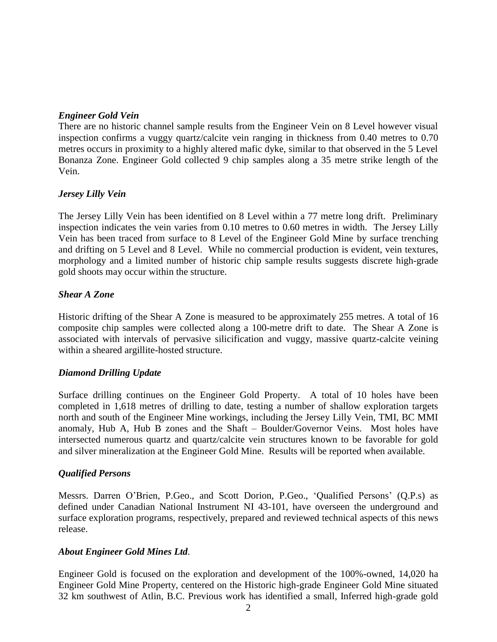### *Engineer Gold Vein*

There are no historic channel sample results from the Engineer Vein on 8 Level however visual inspection confirms a vuggy quartz/calcite vein ranging in thickness from 0.40 metres to 0.70 metres occurs in proximity to a highly altered mafic dyke, similar to that observed in the 5 Level Bonanza Zone. Engineer Gold collected 9 chip samples along a 35 metre strike length of the Vein.

### *Jersey Lilly Vein*

The Jersey Lilly Vein has been identified on 8 Level within a 77 metre long drift. Preliminary inspection indicates the vein varies from 0.10 metres to 0.60 metres in width. The Jersey Lilly Vein has been traced from surface to 8 Level of the Engineer Gold Mine by surface trenching and drifting on 5 Level and 8 Level. While no commercial production is evident, vein textures, morphology and a limited number of historic chip sample results suggests discrete high-grade gold shoots may occur within the structure.

# *Shear A Zone*

Historic drifting of the Shear A Zone is measured to be approximately 255 metres. A total of 16 composite chip samples were collected along a 100-metre drift to date. The Shear A Zone is associated with intervals of pervasive silicification and vuggy, massive quartz-calcite veining within a sheared argillite-hosted structure.

# *Diamond Drilling Update*

Surface drilling continues on the Engineer Gold Property. A total of 10 holes have been completed in 1,618 metres of drilling to date, testing a number of shallow exploration targets north and south of the Engineer Mine workings, including the Jersey Lilly Vein, TMI, BC MMI anomaly, Hub A, Hub B zones and the Shaft – Boulder/Governor Veins. Most holes have intersected numerous quartz and quartz/calcite vein structures known to be favorable for gold and silver mineralization at the Engineer Gold Mine. Results will be reported when available.

### *Qualified Persons*

Messrs. Darren O'Brien, P.Geo., and Scott Dorion, P.Geo., 'Qualified Persons' (Q.P.s) as defined under Canadian National Instrument NI 43-101, have overseen the underground and surface exploration programs, respectively, prepared and reviewed technical aspects of this news release.

### *About Engineer Gold Mines Ltd.*

Engineer Gold is focused on the exploration and development of the 100%-owned, 14,020 ha Engineer Gold Mine Property, centered on the Historic high-grade Engineer Gold Mine situated 32 km southwest of Atlin, B.C. Previous work has identified a small, Inferred high-grade gold